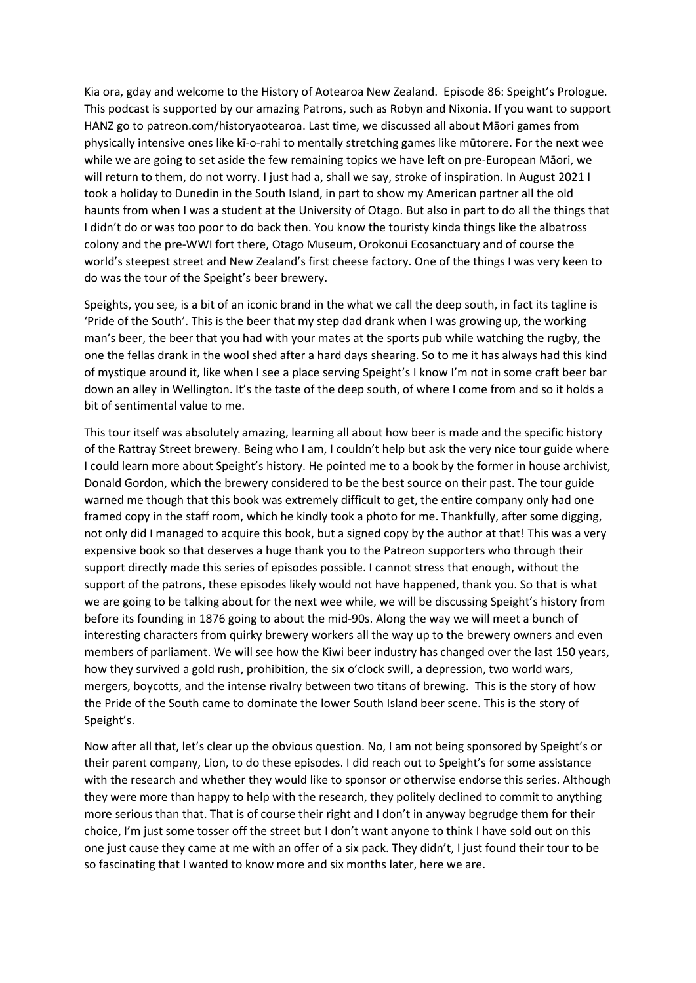Kia ora, gday and welcome to the History of Aotearoa New Zealand. Episode 86: Speight's Prologue. This podcast is supported by our amazing Patrons, such as Robyn and Nixonia. If you want to support HANZ go to patreon.com/historyaotearoa. Last time, we discussed all about Māori games from physically intensive ones like kī-o-rahi to mentally stretching games like mūtorere. For the next wee while we are going to set aside the few remaining topics we have left on pre-European Māori, we will return to them, do not worry. I just had a, shall we say, stroke of inspiration. In August 2021 I took a holiday to Dunedin in the South Island, in part to show my American partner all the old haunts from when I was a student at the University of Otago. But also in part to do all the things that I didn't do or was too poor to do back then. You know the touristy kinda things like the albatross colony and the pre-WWI fort there, Otago Museum, Orokonui Ecosanctuary and of course the world's steepest street and New Zealand's first cheese factory. One of the things I was very keen to do was the tour of the Speight's beer brewery.

Speights, you see, is a bit of an iconic brand in the what we call the deep south, in fact its tagline is 'Pride of the South'. This is the beer that my step dad drank when I was growing up, the working man's beer, the beer that you had with your mates at the sports pub while watching the rugby, the one the fellas drank in the wool shed after a hard days shearing. So to me it has always had this kind of mystique around it, like when I see a place serving Speight's I know I'm not in some craft beer bar down an alley in Wellington. It's the taste of the deep south, of where I come from and so it holds a bit of sentimental value to me.

This tour itself was absolutely amazing, learning all about how beer is made and the specific history of the Rattray Street brewery. Being who I am, I couldn't help but ask the very nice tour guide where I could learn more about Speight's history. He pointed me to a book by the former in house archivist, Donald Gordon, which the brewery considered to be the best source on their past. The tour guide warned me though that this book was extremely difficult to get, the entire company only had one framed copy in the staff room, which he kindly took a photo for me. Thankfully, after some digging, not only did I managed to acquire this book, but a signed copy by the author at that! This was a very expensive book so that deserves a huge thank you to the Patreon supporters who through their support directly made this series of episodes possible. I cannot stress that enough, without the support of the patrons, these episodes likely would not have happened, thank you. So that is what we are going to be talking about for the next wee while, we will be discussing Speight's history from before its founding in 1876 going to about the mid-90s. Along the way we will meet a bunch of interesting characters from quirky brewery workers all the way up to the brewery owners and even members of parliament. We will see how the Kiwi beer industry has changed over the last 150 years, how they survived a gold rush, prohibition, the six o'clock swill, a depression, two world wars, mergers, boycotts, and the intense rivalry between two titans of brewing. This is the story of how the Pride of the South came to dominate the lower South Island beer scene. This is the story of Speight's.

Now after all that, let's clear up the obvious question. No, I am not being sponsored by Speight's or their parent company, Lion, to do these episodes. I did reach out to Speight's for some assistance with the research and whether they would like to sponsor or otherwise endorse this series. Although they were more than happy to help with the research, they politely declined to commit to anything more serious than that. That is of course their right and I don't in anyway begrudge them for their choice, I'm just some tosser off the street but I don't want anyone to think I have sold out on this one just cause they came at me with an offer of a six pack. They didn't, I just found their tour to be so fascinating that I wanted to know more and six months later, here we are.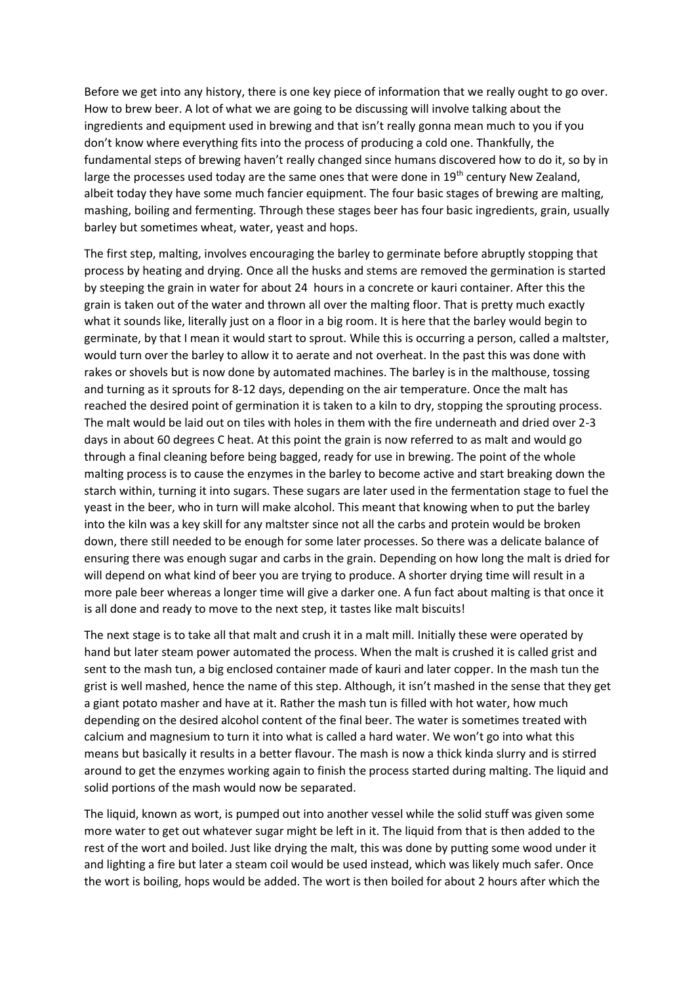Before we get into any history, there is one key piece of information that we really ought to go over. How to brew beer. A lot of what we are going to be discussing will involve talking about the ingredients and equipment used in brewing and that isn't really gonna mean much to you if you don't know where everything fits into the process of producing a cold one. Thankfully, the fundamental steps of brewing haven't really changed since humans discovered how to do it, so by in large the processes used today are the same ones that were done in  $19<sup>th</sup>$  century New Zealand, albeit today they have some much fancier equipment. The four basic stages of brewing are malting, mashing, boiling and fermenting. Through these stages beer has four basic ingredients, grain, usually barley but sometimes wheat, water, yeast and hops.

The first step, malting, involves encouraging the barley to germinate before abruptly stopping that process by heating and drying. Once all the husks and stems are removed the germination is started by steeping the grain in water for about 24 hours in a concrete or kauri container. After this the grain is taken out of the water and thrown all over the malting floor. That is pretty much exactly what it sounds like, literally just on a floor in a big room. It is here that the barley would begin to germinate, by that I mean it would start to sprout. While this is occurring a person, called a maltster, would turn over the barley to allow it to aerate and not overheat. In the past this was done with rakes or shovels but is now done by automated machines. The barley is in the malthouse, tossing and turning as it sprouts for 8-12 days, depending on the air temperature. Once the malt has reached the desired point of germination it is taken to a kiln to dry, stopping the sprouting process. The malt would be laid out on tiles with holes in them with the fire underneath and dried over 2-3 days in about 60 degrees C heat. At this point the grain is now referred to as malt and would go through a final cleaning before being bagged, ready for use in brewing. The point of the whole malting process is to cause the enzymes in the barley to become active and start breaking down the starch within, turning it into sugars. These sugars are later used in the fermentation stage to fuel the yeast in the beer, who in turn will make alcohol. This meant that knowing when to put the barley into the kiln was a key skill for any maltster since not all the carbs and protein would be broken down, there still needed to be enough for some later processes. So there was a delicate balance of ensuring there was enough sugar and carbs in the grain. Depending on how long the malt is dried for will depend on what kind of beer you are trying to produce. A shorter drying time will result in a more pale beer whereas a longer time will give a darker one. A fun fact about malting is that once it is all done and ready to move to the next step, it tastes like malt biscuits!

The next stage is to take all that malt and crush it in a malt mill. Initially these were operated by hand but later steam power automated the process. When the malt is crushed it is called grist and sent to the mash tun, a big enclosed container made of kauri and later copper. In the mash tun the grist is well mashed, hence the name of this step. Although, it isn't mashed in the sense that they get a giant potato masher and have at it. Rather the mash tun is filled with hot water, how much depending on the desired alcohol content of the final beer. The water is sometimes treated with calcium and magnesium to turn it into what is called a hard water. We won't go into what this means but basically it results in a better flavour. The mash is now a thick kinda slurry and is stirred around to get the enzymes working again to finish the process started during malting. The liquid and solid portions of the mash would now be separated.

The liquid, known as wort, is pumped out into another vessel while the solid stuff was given some more water to get out whatever sugar might be left in it. The liquid from that is then added to the rest of the wort and boiled. Just like drying the malt, this was done by putting some wood under it and lighting a fire but later a steam coil would be used instead, which was likely much safer. Once the wort is boiling, hops would be added. The wort is then boiled for about 2 hours after which the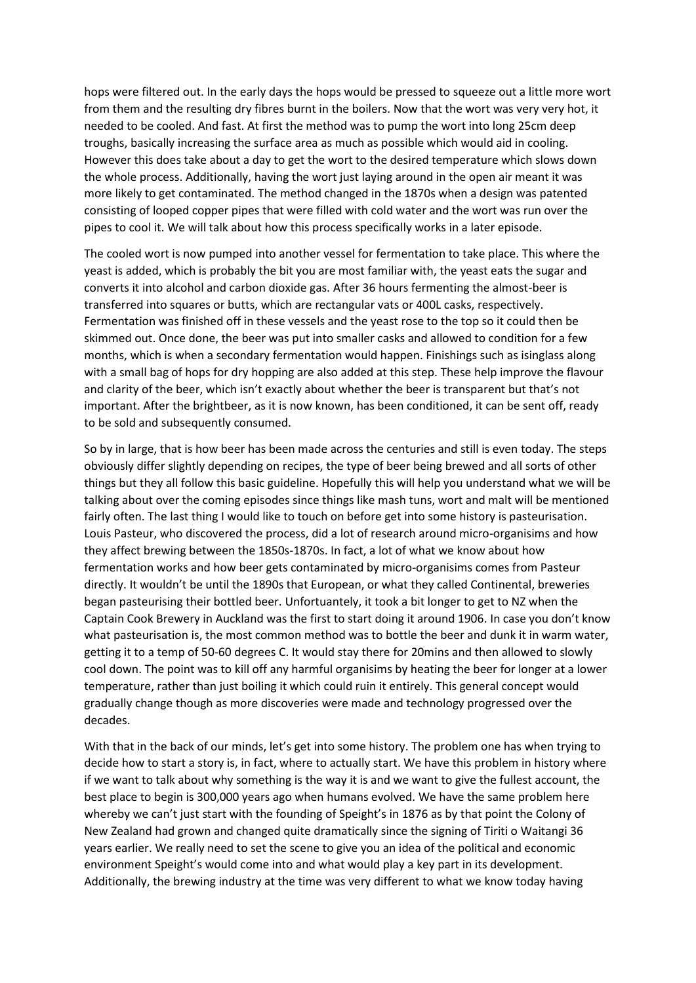hops were filtered out. In the early days the hops would be pressed to squeeze out a little more wort from them and the resulting dry fibres burnt in the boilers. Now that the wort was very very hot, it needed to be cooled. And fast. At first the method was to pump the wort into long 25cm deep troughs, basically increasing the surface area as much as possible which would aid in cooling. However this does take about a day to get the wort to the desired temperature which slows down the whole process. Additionally, having the wort just laying around in the open air meant it was more likely to get contaminated. The method changed in the 1870s when a design was patented consisting of looped copper pipes that were filled with cold water and the wort was run over the pipes to cool it. We will talk about how this process specifically works in a later episode.

The cooled wort is now pumped into another vessel for fermentation to take place. This where the yeast is added, which is probably the bit you are most familiar with, the yeast eats the sugar and converts it into alcohol and carbon dioxide gas. After 36 hours fermenting the almost-beer is transferred into squares or butts, which are rectangular vats or 400L casks, respectively. Fermentation was finished off in these vessels and the yeast rose to the top so it could then be skimmed out. Once done, the beer was put into smaller casks and allowed to condition for a few months, which is when a secondary fermentation would happen. Finishings such as isinglass along with a small bag of hops for dry hopping are also added at this step. These help improve the flavour and clarity of the beer, which isn't exactly about whether the beer is transparent but that's not important. After the brightbeer, as it is now known, has been conditioned, it can be sent off, ready to be sold and subsequently consumed.

So by in large, that is how beer has been made across the centuries and still is even today. The steps obviously differ slightly depending on recipes, the type of beer being brewed and all sorts of other things but they all follow this basic guideline. Hopefully this will help you understand what we will be talking about over the coming episodes since things like mash tuns, wort and malt will be mentioned fairly often. The last thing I would like to touch on before get into some history is pasteurisation. Louis Pasteur, who discovered the process, did a lot of research around micro-organisims and how they affect brewing between the 1850s-1870s. In fact, a lot of what we know about how fermentation works and how beer gets contaminated by micro-organisims comes from Pasteur directly. It wouldn't be until the 1890s that European, or what they called Continental, breweries began pasteurising their bottled beer. Unfortuantely, it took a bit longer to get to NZ when the Captain Cook Brewery in Auckland was the first to start doing it around 1906. In case you don't know what pasteurisation is, the most common method was to bottle the beer and dunk it in warm water, getting it to a temp of 50-60 degrees C. It would stay there for 20mins and then allowed to slowly cool down. The point was to kill off any harmful organisims by heating the beer for longer at a lower temperature, rather than just boiling it which could ruin it entirely. This general concept would gradually change though as more discoveries were made and technology progressed over the decades.

With that in the back of our minds, let's get into some history. The problem one has when trying to decide how to start a story is, in fact, where to actually start. We have this problem in history where if we want to talk about why something is the way it is and we want to give the fullest account, the best place to begin is 300,000 years ago when humans evolved. We have the same problem here whereby we can't just start with the founding of Speight's in 1876 as by that point the Colony of New Zealand had grown and changed quite dramatically since the signing of Tiriti o Waitangi 36 years earlier. We really need to set the scene to give you an idea of the political and economic environment Speight's would come into and what would play a key part in its development. Additionally, the brewing industry at the time was very different to what we know today having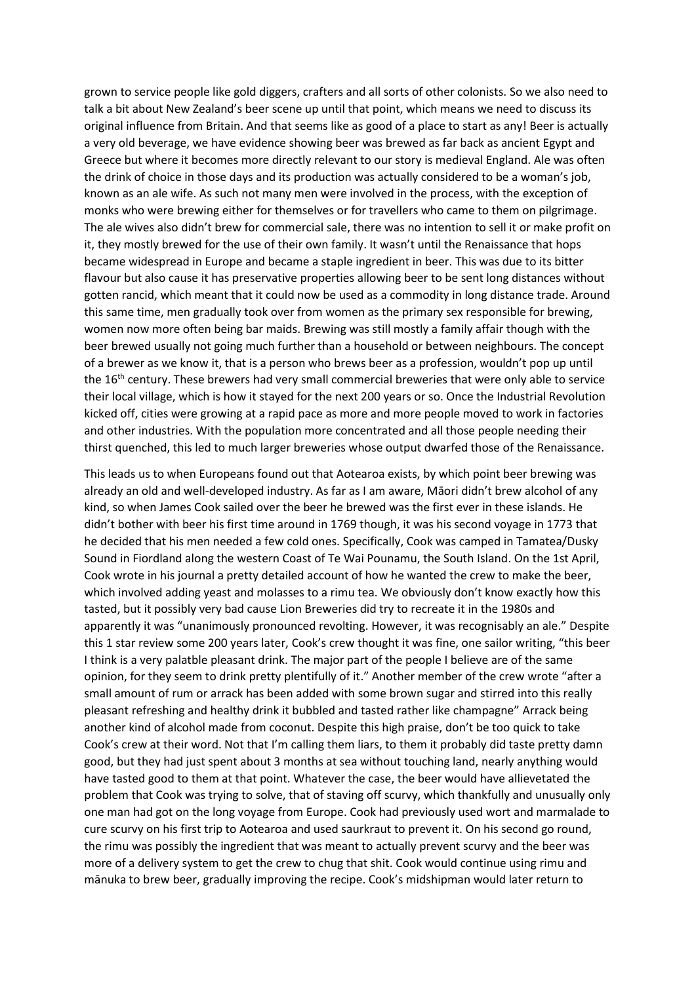grown to service people like gold diggers, crafters and all sorts of other colonists. So we also need to talk a bit about New Zealand's beer scene up until that point, which means we need to discuss its original influence from Britain. And that seems like as good of a place to start as any! Beer is actually a very old beverage, we have evidence showing beer was brewed as far back as ancient Egypt and Greece but where it becomes more directly relevant to our story is medieval England. Ale was often the drink of choice in those days and its production was actually considered to be a woman's job, known as an ale wife. As such not many men were involved in the process, with the exception of monks who were brewing either for themselves or for travellers who came to them on pilgrimage. The ale wives also didn't brew for commercial sale, there was no intention to sell it or make profit on it, they mostly brewed for the use of their own family. It wasn't until the Renaissance that hops became widespread in Europe and became a staple ingredient in beer. This was due to its bitter flavour but also cause it has preservative properties allowing beer to be sent long distances without gotten rancid, which meant that it could now be used as a commodity in long distance trade. Around this same time, men gradually took over from women as the primary sex responsible for brewing, women now more often being bar maids. Brewing was still mostly a family affair though with the beer brewed usually not going much further than a household or between neighbours. The concept of a brewer as we know it, that is a person who brews beer as a profession, wouldn't pop up until the 16<sup>th</sup> century. These brewers had very small commercial breweries that were only able to service their local village, which is how it stayed for the next 200 years or so. Once the Industrial Revolution kicked off, cities were growing at a rapid pace as more and more people moved to work in factories and other industries. With the population more concentrated and all those people needing their thirst quenched, this led to much larger breweries whose output dwarfed those of the Renaissance.

This leads us to when Europeans found out that Aotearoa exists, by which point beer brewing was already an old and well-developed industry. As far as I am aware, Māori didn't brew alcohol of any kind, so when James Cook sailed over the beer he brewed was the first ever in these islands. He didn't bother with beer his first time around in 1769 though, it was his second voyage in 1773 that he decided that his men needed a few cold ones. Specifically, Cook was camped in Tamatea/Dusky Sound in Fiordland along the western Coast of Te Wai Pounamu, the South Island. On the 1st April, Cook wrote in his journal a pretty detailed account of how he wanted the crew to make the beer, which involved adding yeast and molasses to a rimu tea. We obviously don't know exactly how this tasted, but it possibly very bad cause Lion Breweries did try to recreate it in the 1980s and apparently it was "unanimously pronounced revolting. However, it was recognisably an ale." Despite this 1 star review some 200 years later, Cook's crew thought it was fine, one sailor writing, "this beer I think is a very palatble pleasant drink. The major part of the people I believe are of the same opinion, for they seem to drink pretty plentifully of it." Another member of the crew wrote "after a small amount of rum or arrack has been added with some brown sugar and stirred into this really pleasant refreshing and healthy drink it bubbled and tasted rather like champagne" Arrack being another kind of alcohol made from coconut. Despite this high praise, don't be too quick to take Cook's crew at their word. Not that I'm calling them liars, to them it probably did taste pretty damn good, but they had just spent about 3 months at sea without touching land, nearly anything would have tasted good to them at that point. Whatever the case, the beer would have allievetated the problem that Cook was trying to solve, that of staving off scurvy, which thankfully and unusually only one man had got on the long voyage from Europe. Cook had previously used wort and marmalade to cure scurvy on his first trip to Aotearoa and used saurkraut to prevent it. On his second go round, the rimu was possibly the ingredient that was meant to actually prevent scurvy and the beer was more of a delivery system to get the crew to chug that shit. Cook would continue using rimu and mānuka to brew beer, gradually improving the recipe. Cook's midshipman would later return to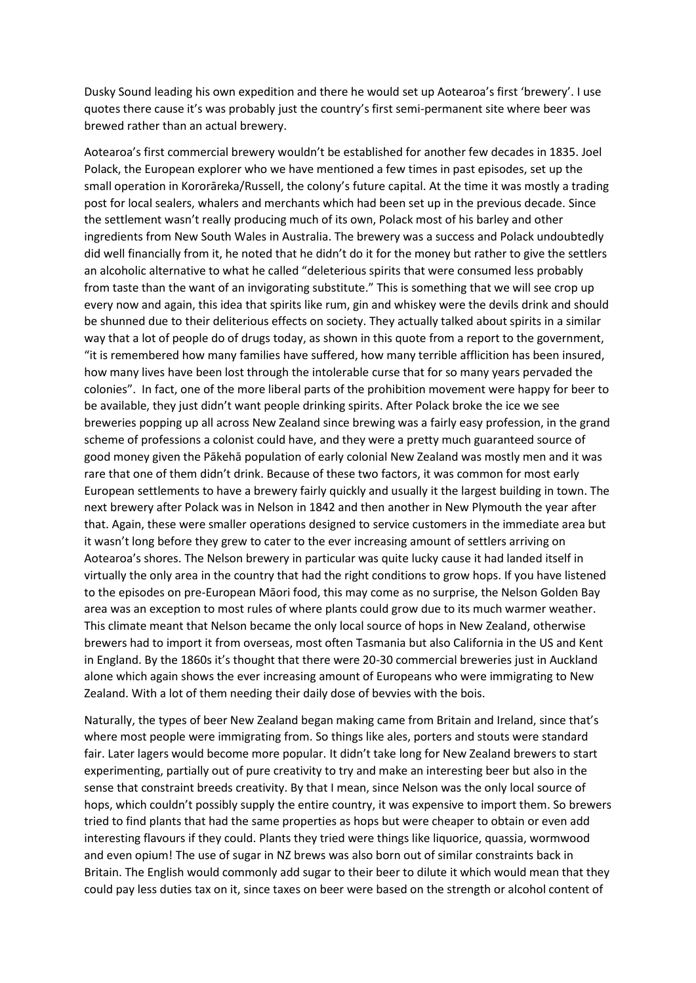Dusky Sound leading his own expedition and there he would set up Aotearoa's first 'brewery'. I use quotes there cause it's was probably just the country's first semi-permanent site where beer was brewed rather than an actual brewery.

Aotearoa's first commercial brewery wouldn't be established for another few decades in 1835. Joel Polack, the European explorer who we have mentioned a few times in past episodes, set up the small operation in Kororāreka/Russell, the colony's future capital. At the time it was mostly a trading post for local sealers, whalers and merchants which had been set up in the previous decade. Since the settlement wasn't really producing much of its own, Polack most of his barley and other ingredients from New South Wales in Australia. The brewery was a success and Polack undoubtedly did well financially from it, he noted that he didn't do it for the money but rather to give the settlers an alcoholic alternative to what he called "deleterious spirits that were consumed less probably from taste than the want of an invigorating substitute." This is something that we will see crop up every now and again, this idea that spirits like rum, gin and whiskey were the devils drink and should be shunned due to their deliterious effects on society. They actually talked about spirits in a similar way that a lot of people do of drugs today, as shown in this quote from a report to the government, "it is remembered how many families have suffered, how many terrible afflicition has been insured, how many lives have been lost through the intolerable curse that for so many years pervaded the colonies". In fact, one of the more liberal parts of the prohibition movement were happy for beer to be available, they just didn't want people drinking spirits. After Polack broke the ice we see breweries popping up all across New Zealand since brewing was a fairly easy profession, in the grand scheme of professions a colonist could have, and they were a pretty much guaranteed source of good money given the Pākehā population of early colonial New Zealand was mostly men and it was rare that one of them didn't drink. Because of these two factors, it was common for most early European settlements to have a brewery fairly quickly and usually it the largest building in town. The next brewery after Polack was in Nelson in 1842 and then another in New Plymouth the year after that. Again, these were smaller operations designed to service customers in the immediate area but it wasn't long before they grew to cater to the ever increasing amount of settlers arriving on Aotearoa's shores. The Nelson brewery in particular was quite lucky cause it had landed itself in virtually the only area in the country that had the right conditions to grow hops. If you have listened to the episodes on pre-European Māori food, this may come as no surprise, the Nelson Golden Bay area was an exception to most rules of where plants could grow due to its much warmer weather. This climate meant that Nelson became the only local source of hops in New Zealand, otherwise brewers had to import it from overseas, most often Tasmania but also California in the US and Kent in England. By the 1860s it's thought that there were 20-30 commercial breweries just in Auckland alone which again shows the ever increasing amount of Europeans who were immigrating to New Zealand. With a lot of them needing their daily dose of bevvies with the bois.

Naturally, the types of beer New Zealand began making came from Britain and Ireland, since that's where most people were immigrating from. So things like ales, porters and stouts were standard fair. Later lagers would become more popular. It didn't take long for New Zealand brewers to start experimenting, partially out of pure creativity to try and make an interesting beer but also in the sense that constraint breeds creativity. By that I mean, since Nelson was the only local source of hops, which couldn't possibly supply the entire country, it was expensive to import them. So brewers tried to find plants that had the same properties as hops but were cheaper to obtain or even add interesting flavours if they could. Plants they tried were things like liquorice, quassia, wormwood and even opium! The use of sugar in NZ brews was also born out of similar constraints back in Britain. The English would commonly add sugar to their beer to dilute it which would mean that they could pay less duties tax on it, since taxes on beer were based on the strength or alcohol content of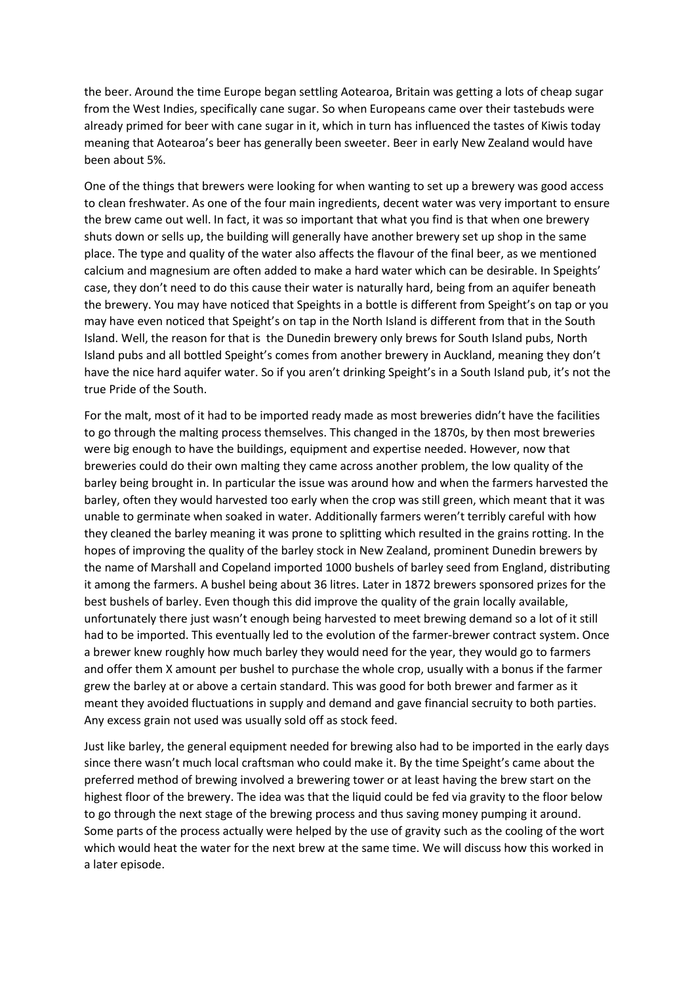the beer. Around the time Europe began settling Aotearoa, Britain was getting a lots of cheap sugar from the West Indies, specifically cane sugar. So when Europeans came over their tastebuds were already primed for beer with cane sugar in it, which in turn has influenced the tastes of Kiwis today meaning that Aotearoa's beer has generally been sweeter. Beer in early New Zealand would have been about 5%.

One of the things that brewers were looking for when wanting to set up a brewery was good access to clean freshwater. As one of the four main ingredients, decent water was very important to ensure the brew came out well. In fact, it was so important that what you find is that when one brewery shuts down or sells up, the building will generally have another brewery set up shop in the same place. The type and quality of the water also affects the flavour of the final beer, as we mentioned calcium and magnesium are often added to make a hard water which can be desirable. In Speights' case, they don't need to do this cause their water is naturally hard, being from an aquifer beneath the brewery. You may have noticed that Speights in a bottle is different from Speight's on tap or you may have even noticed that Speight's on tap in the North Island is different from that in the South Island. Well, the reason for that is the Dunedin brewery only brews for South Island pubs, North Island pubs and all bottled Speight's comes from another brewery in Auckland, meaning they don't have the nice hard aquifer water. So if you aren't drinking Speight's in a South Island pub, it's not the true Pride of the South.

For the malt, most of it had to be imported ready made as most breweries didn't have the facilities to go through the malting process themselves. This changed in the 1870s, by then most breweries were big enough to have the buildings, equipment and expertise needed. However, now that breweries could do their own malting they came across another problem, the low quality of the barley being brought in. In particular the issue was around how and when the farmers harvested the barley, often they would harvested too early when the crop was still green, which meant that it was unable to germinate when soaked in water. Additionally farmers weren't terribly careful with how they cleaned the barley meaning it was prone to splitting which resulted in the grains rotting. In the hopes of improving the quality of the barley stock in New Zealand, prominent Dunedin brewers by the name of Marshall and Copeland imported 1000 bushels of barley seed from England, distributing it among the farmers. A bushel being about 36 litres. Later in 1872 brewers sponsored prizes for the best bushels of barley. Even though this did improve the quality of the grain locally available, unfortunately there just wasn't enough being harvested to meet brewing demand so a lot of it still had to be imported. This eventually led to the evolution of the farmer-brewer contract system. Once a brewer knew roughly how much barley they would need for the year, they would go to farmers and offer them X amount per bushel to purchase the whole crop, usually with a bonus if the farmer grew the barley at or above a certain standard. This was good for both brewer and farmer as it meant they avoided fluctuations in supply and demand and gave financial secruity to both parties. Any excess grain not used was usually sold off as stock feed.

Just like barley, the general equipment needed for brewing also had to be imported in the early days since there wasn't much local craftsman who could make it. By the time Speight's came about the preferred method of brewing involved a brewering tower or at least having the brew start on the highest floor of the brewery. The idea was that the liquid could be fed via gravity to the floor below to go through the next stage of the brewing process and thus saving money pumping it around. Some parts of the process actually were helped by the use of gravity such as the cooling of the wort which would heat the water for the next brew at the same time. We will discuss how this worked in a later episode.